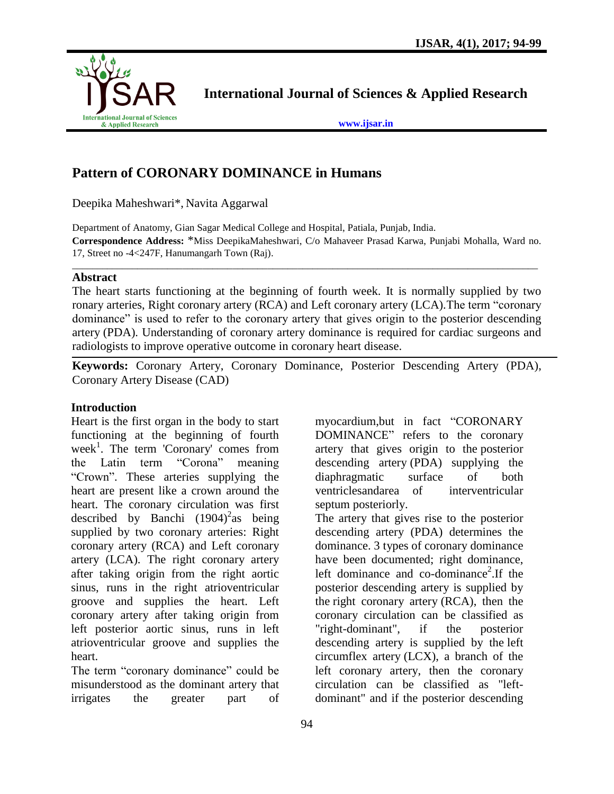

**International Journal of Sciences & Applied Research**

**[www.ijsar.in](http://www.ijsar.in/)**

# **Pattern of CORONARY DOMINANCE in Humans**

Deepika Maheshwari\*, Navita Aggarwal

Department of Anatomy, Gian Sagar Medical College and Hospital, Patiala, Punjab, India. **Correspondence Address:** \*Miss DeepikaMaheshwari, C/o Mahaveer Prasad Karwa, Punjabi Mohalla, Ward no. 17, Street no -4<247F, Hanumangarh Town (Raj).

\_\_\_\_\_\_\_\_\_\_\_\_\_\_\_\_\_\_\_\_\_\_\_\_\_\_\_\_\_\_\_\_\_\_\_\_\_\_\_\_\_\_\_\_\_\_\_\_\_\_\_\_\_\_\_\_\_\_\_\_\_\_\_\_\_\_\_\_\_\_\_\_\_\_\_\_\_\_\_\_\_\_\_\_\_\_\_\_\_\_\_\_\_

### **Abstract**

The heart starts functioning at the beginning of fourth week. It is normally supplied by two ronary arteries, Right coronary artery (RCA) and Left coronary artery (LCA).The term "coronary dominance" is used to refer to the coronary artery that gives origin to the posterior descending artery (PDA). Understanding of coronary artery dominance is required for cardiac surgeons and radiologists to improve operative outcome in coronary heart disease.

**Keywords:** Coronary Artery, Coronary Dominance, Posterior Descending Artery (PDA), Coronary Artery Disease (CAD)

### **Introduction**

Heart is the first organ in the body to start functioning at the beginning of fourth week<sup>1</sup>. The term 'Coronary' comes from the Latin term "Corona" meaning "Crown". These arteries supplying the heart are present like a crown around the heart. The coronary circulation was first described by Banchi  $(1904)^2$ as being supplied by two coronary arteries: Right coronary artery (RCA) and Left coronary artery (LCA). The right coronary artery after taking origin from the right aortic sinus, runs in the right atrioventricular groove and supplies the heart. Left coronary artery after taking origin from left posterior aortic sinus, runs in left atrioventricular groove and supplies the heart.

The term "coronary dominance" could be misunderstood as the dominant artery that irrigates the greater part of myocardium,but in fact "CORONARY DOMINANCE" refers to the coronary artery that gives origin to the posterior descending artery (PDA) supplying the diaphragmatic surface of both ventriclesandarea of interventricular septum posteriorly.

The artery that gives rise to the posterior descending artery (PDA) determines the dominance. 3 types of coronary dominance have been documented; right dominance, left dominance and co-dominance<sup>2</sup>. If the posterior descending artery is supplied by the right coronary artery (RCA), then the coronary circulation can be classified as "right-dominant", if the posterior descending artery is supplied by the left circumflex artery (LCX), a branch of the left coronary artery, then the coronary circulation can be classified as "leftdominant" and if the posterior descending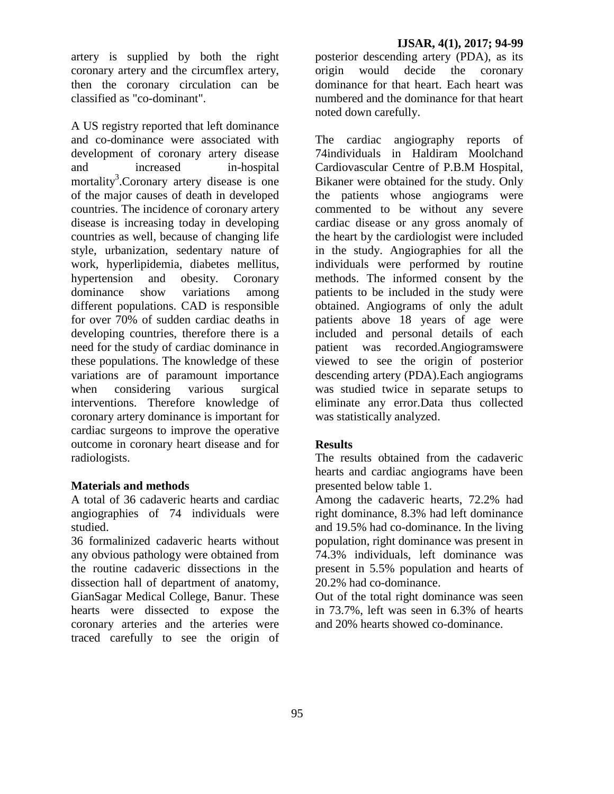artery is supplied by both the right coronary artery and the circumflex artery, then the coronary circulation can be classified as "co-dominant".

A US registry reported that left dominance and co-dominance were associated with development of coronary artery disease and increased in-hospital mortality<sup>3</sup>. Coronary artery disease is one of the major causes of death in developed countries. The incidence of coronary artery disease is increasing today in developing countries as well, because of changing life style, urbanization, sedentary nature of work, hyperlipidemia, diabetes mellitus, hypertension and obesity. Coronary dominance show variations among different populations. CAD is responsible for over 70% of sudden cardiac deaths in developing countries, therefore there is a need for the study of cardiac dominance in these populations. The knowledge of these variations are of paramount importance when considering various surgical interventions. Therefore knowledge of coronary artery dominance is important for cardiac surgeons to improve the operative outcome in coronary heart disease and for radiologists.

### **Materials and methods**

A total of 36 cadaveric hearts and cardiac angiographies of 74 individuals were studied.

36 formalinized cadaveric hearts without any obvious pathology were obtained from the routine cadaveric dissections in the dissection hall of department of anatomy, GianSagar Medical College, Banur. These hearts were dissected to expose the coronary arteries and the arteries were traced carefully to see the origin of

posterior descending artery (PDA), as its origin would decide the coronary dominance for that heart. Each heart was numbered and the dominance for that heart noted down carefully.

The cardiac angiography reports of 74individuals in Haldiram Moolchand Cardiovascular Centre of P.B.M Hospital, Bikaner were obtained for the study. Only the patients whose angiograms were commented to be without any severe cardiac disease or any gross anomaly of the heart by the cardiologist were included in the study. Angiographies for all the individuals were performed by routine methods. The informed consent by the patients to be included in the study were obtained. Angiograms of only the adult patients above 18 years of age were included and personal details of each patient was recorded.Angiogramswere viewed to see the origin of posterior descending artery (PDA).Each angiograms was studied twice in separate setups to eliminate any error.Data thus collected was statistically analyzed.

## **Results**

The results obtained from the cadaveric hearts and cardiac angiograms have been presented below table 1.

Among the cadaveric hearts, 72.2% had right dominance, 8.3% had left dominance and 19.5% had co-dominance. In the living population, right dominance was present in 74.3% individuals, left dominance was present in 5.5% population and hearts of 20.2% had co-dominance.

Out of the total right dominance was seen in 73.7%, left was seen in 6.3% of hearts and 20% hearts showed co-dominance.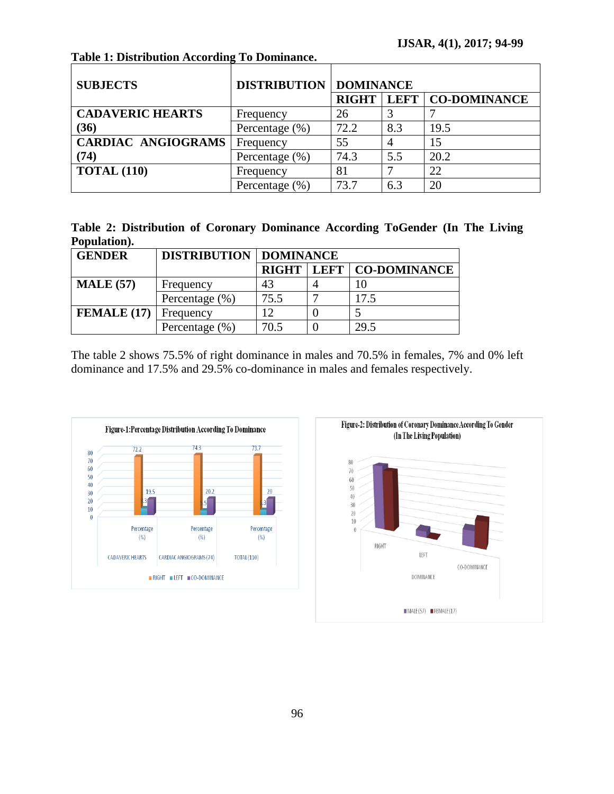| <b>SUBJECTS</b>           | <b>DISTRIBUTION   DOMINANCE</b> |              |     |                     |
|---------------------------|---------------------------------|--------------|-----|---------------------|
|                           |                                 | <b>RIGHT</b> |     | LEFT   CO-DOMINANCE |
| <b>CADAVERIC HEARTS</b>   | Frequency                       | 26           |     |                     |
| (36)                      | Percentage (%)                  | 72.2         | 8.3 | 19.5                |
| <b>CARDIAC ANGIOGRAMS</b> | Frequency                       | 55           |     | 15                  |
| (74)                      | Percentage $(\% )$              | 74.3         | 5.5 | 20.2                |
| <b>TOTAL (110)</b>        | Frequency                       | 81           |     | 22                  |
|                           | Percentage (%)                  | 73.7         | 6.3 | 20                  |

**Table 1: Distribution According To Dominance.**

| Table 2: Distribution of Coronary Dominance According ToGender (In The Living |  |  |  |  |
|-------------------------------------------------------------------------------|--|--|--|--|
| Population).                                                                  |  |  |  |  |

| <b>GENDER</b>    | <b>DISTRIBUTION   DOMINANCE</b> |              |  |                            |  |  |
|------------------|---------------------------------|--------------|--|----------------------------|--|--|
|                  |                                 | <b>RIGHT</b> |  | <b>LEFT   CO-DOMINANCE</b> |  |  |
| <b>MALE</b> (57) | Frequency                       | 43           |  | 10                         |  |  |
|                  | Percentage $(\% )$              | 75.5         |  | 17.5                       |  |  |
| FEMALE(17)       | Frequency                       | 12           |  |                            |  |  |
|                  | Percentage $(\% )$              | 70.5         |  | 29.5                       |  |  |

The table 2 shows 75.5% of right dominance in males and 70.5% in females, 7% and 0% left dominance and 17.5% and 29.5% co-dominance in males and females respectively.



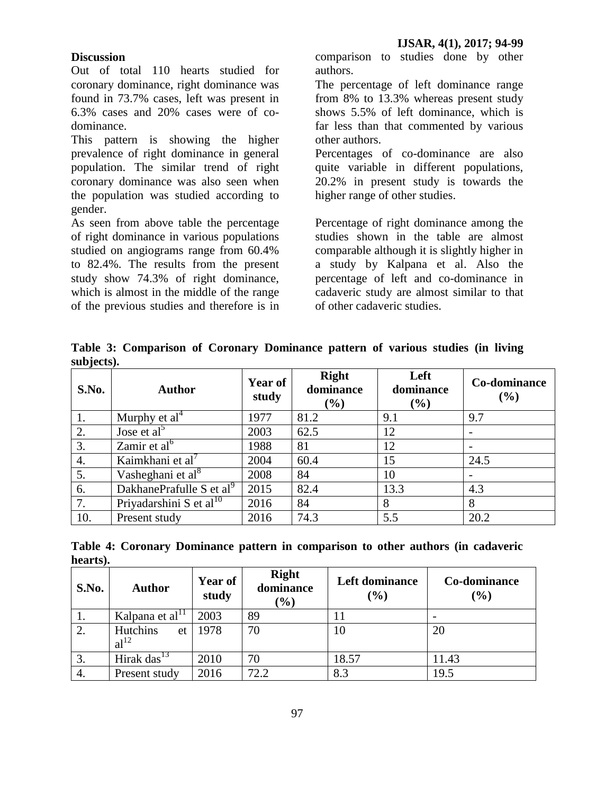### **Discussion**

Out of total 110 hearts studied for coronary dominance, right dominance was found in 73.7% cases, left was present in 6.3% cases and 20% cases were of codominance.

This pattern is showing the higher prevalence of right dominance in general population. The similar trend of right coronary dominance was also seen when the population was studied according to gender.

As seen from above table the percentage of right dominance in various populations studied on angiograms range from 60.4% to 82.4%. The results from the present study show 74.3% of right dominance, which is almost in the middle of the range of the previous studies and therefore is in comparison to studies done by other authors.

The percentage of left dominance range from 8% to 13.3% whereas present study shows 5.5% of left dominance, which is far less than that commented by various other authors.

Percentages of co-dominance are also quite variable in different populations, 20.2% in present study is towards the higher range of other studies.

Percentage of right dominance among the studies shown in the table are almost comparable although it is slightly higher in a study by Kalpana et al. Also the percentage of left and co-dominance in cadaveric study are almost similar to that of other cadaveric studies.

**Table 3: Comparison of Coronary Dominance pattern of various studies (in living subjects).**

| S.No. | <b>Author</b>                        | <b>Year of</b><br>study | <b>Right</b><br>dominance<br>$(\%)$ | Left<br>dominance<br>(%) | Co-dominance<br>(%) |
|-------|--------------------------------------|-------------------------|-------------------------------------|--------------------------|---------------------|
|       | Murphy et $al4$                      | 1977                    | 81.2                                | 9.1                      | 9.7                 |
| 2.    | Jose et al <sup>5</sup>              | 2003                    | 62.5                                | 12                       |                     |
| 3.    | Zamir et $a^{16}$                    | 1988                    | 81                                  | 12                       |                     |
| 4.    | Kaimkhani et al'                     | 2004                    | 60.4                                | 15                       | 24.5                |
| 5.    | Vasheghani et al <sup>8</sup>        | 2008                    | 84                                  | 10                       |                     |
| 6.    | DakhanePrafulle S et al <sup>9</sup> | 2015                    | 82.4                                | 13.3                     | 4.3                 |
| 7.    | Priyadarshini S et al <sup>10</sup>  | 2016                    | 84                                  | 8                        | 8                   |
| 10.   | Present study                        | 2016                    | 74.3                                | 5.5                      | 20.2                |

**Table 4: Coronary Dominance pattern in comparison to other authors (in cadaveric hearts).**

| S.No. | <b>Author</b>                      | <b>Year of</b><br>study | <b>Right</b><br>dominance<br>$(\%)$ | Left dominance<br>$(\%)$ | Co-dominance<br>(%) |
|-------|------------------------------------|-------------------------|-------------------------------------|--------------------------|---------------------|
| 1.    | Kalpana et al <sup>11</sup>        | 2003                    | 89                                  |                          |                     |
| 2.    | Hutchins<br>et<br>al <sup>12</sup> | 1978                    | 70                                  | 10                       | 20                  |
|       | Hirak das <sup>13</sup>            | 2010                    | 70                                  | 18.57                    | 11.43               |
| 4.    | Present study                      | 2016                    | 72.2                                | 8.3                      | 19.5                |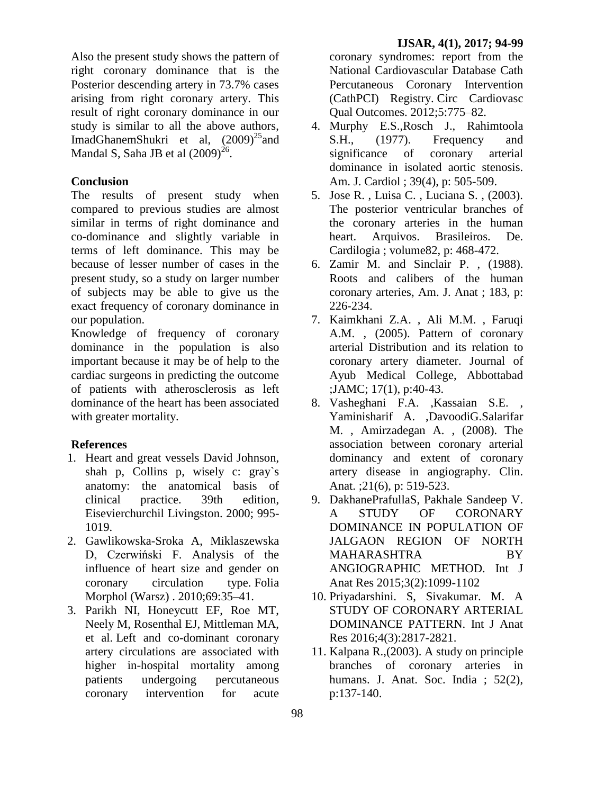Also the present study shows the pattern of right coronary dominance that is the Posterior descending artery in 73.7% cases arising from right coronary artery. This result of right coronary dominance in our study is similar to all the above authors, ImadGhanemShukri et al,  $(2009)^{25}$ and Mandal S, Saha JB et al  $(2009)^{26}$ .

### **Conclusion**

The results of present study when compared to previous studies are almost similar in terms of right dominance and co-dominance and slightly variable in terms of left dominance. This may be because of lesser number of cases in the present study, so a study on larger number of subjects may be able to give us the exact frequency of coronary dominance in our population.

Knowledge of frequency of coronary dominance in the population is also important because it may be of help to the cardiac surgeons in predicting the outcome of patients with atherosclerosis as left dominance of the heart has been associated with greater mortality.

#### **References**

- 1. Heart and great vessels David Johnson, shah p, Collins p, wisely c: gray`s anatomy: the anatomical basis of clinical practice. 39th edition, Eisevierchurchil Livingston. 2000; 995- 1019.
- 2. Gawlikowska-Sroka A, Miklaszewska D, Czerwiński F. Analysis of the influence of heart size and gender on coronary circulation type. Folia Morphol (Warsz) . 2010;69:35–41.
- 3. Parikh NI, Honeycutt EF, Roe MT, Neely M, Rosenthal EJ, Mittleman MA, et al. Left and co-dominant coronary artery circulations are associated with higher in-hospital mortality among patients undergoing percutaneous coronary intervention for acute

coronary syndromes: report from the National Cardiovascular Database Cath Percutaneous Coronary Intervention (CathPCI) Registry. Circ Cardiovasc Qual Outcomes. 2012;5:775–82.

- 4. Murphy E.S.,Rosch J., Rahimtoola S.H., (1977). Frequency and significance of coronary arterial dominance in isolated aortic stenosis. Am. J. Cardiol ; 39(4), p: 505-509.
- 5. Jose R. , Luisa C. , Luciana S. , (2003). The posterior ventricular branches of the coronary arteries in the human heart. Arquivos. Brasileiros. De. Cardilogia ; volume82, p: 468-472.
- 6. Zamir M. and Sinclair P. , (1988). Roots and calibers of the human coronary arteries, Am. J. Anat ; 183, p: 226-234.
- 7. Kaimkhani Z.A. , Ali M.M. , Faruqi A.M. , (2005). Pattern of coronary arterial Distribution and its relation to coronary artery diameter. Journal of Ayub Medical College, Abbottabad ;JAMC; 17(1), p:40-43.
- 8. Vasheghani F.A. ,Kassaian S.E. , Yaminisharif A. ,DavoodiG.Salarifar M. , Amirzadegan A. , (2008). The association between coronary arterial dominancy and extent of coronary artery disease in angiography. Clin. Anat. ;21(6), p: 519-523.
- 9. DakhanePrafullaS, Pakhale Sandeep V. A STUDY OF CORONARY DOMINANCE IN POPULATION OF JALGAON REGION OF NORTH MAHARASHTRA BY ANGIOGRAPHIC METHOD. Int J Anat Res 2015;3(2):1099-1102
- 10. Priyadarshini. S, Sivakumar. M. A STUDY OF CORONARY ARTERIAL DOMINANCE PATTERN. Int J Anat Res 2016;4(3):2817-2821.
- 11. Kalpana R.,(2003). A study on principle branches of coronary arteries in humans. J. Anat. Soc. India : 52(2). p:137-140.